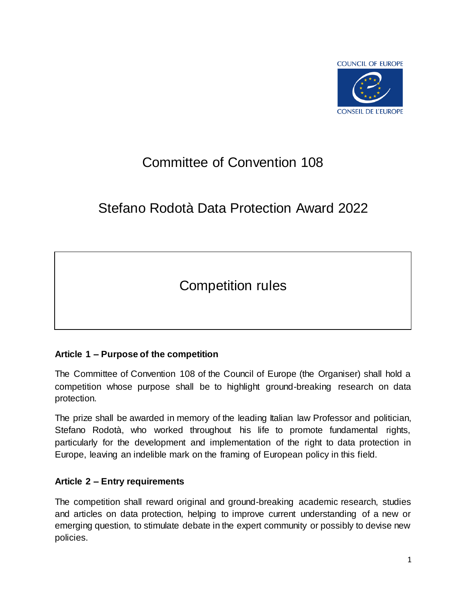

# Committee of Convention 108

# Stefano Rodotà Data Protection Award 2022

Competition rules

## **Article 1 – Purpose of the competition**

The Committee of Convention 108 of the Council of Europe (the Organiser) shall hold a competition whose purpose shall be to highlight ground-breaking research on data protection.

The prize shall be awarded in memory of the leading Italian law Professor and politician, Stefano Rodotà, who worked throughout his life to promote fundamental rights, particularly for the development and implementation of the right to data protection in Europe, leaving an indelible mark on the framing of European policy in this field.

## **Article 2 – Entry requirements**

The competition shall reward original and ground-breaking academic research, studies and articles on data protection, helping to improve current understanding of a new or emerging question, to stimulate debate in the expert community or possibly to devise new policies.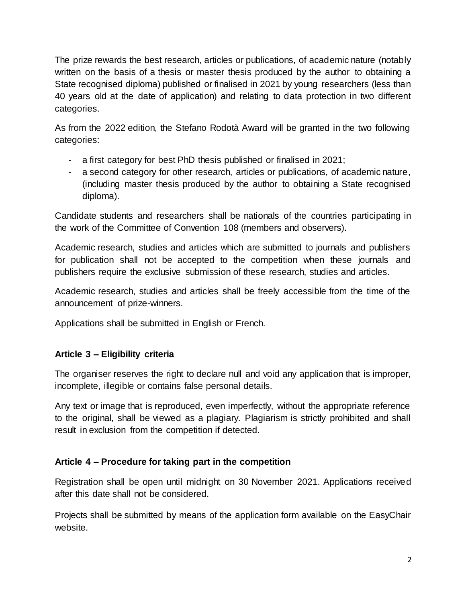The prize rewards the best research, articles or publications, of academic nature (notably written on the basis of a thesis or master thesis produced by the author to obtaining a State recognised diploma) published or finalised in 2021 by young researchers (less than 40 years old at the date of application) and relating to data protection in two different categories.

As from the 2022 edition, the Stefano Rodotà Award will be granted in the two following categories:

- a first category for best PhD thesis published or finalised in 2021;
- a second category for other research, articles or publications, of academic nature, (including master thesis produced by the author to obtaining a State recognised diploma).

Candidate students and researchers shall be nationals of the countries participating in the work of the Committee of Convention 108 (members and observers).

Academic research, studies and articles which are submitted to journals and publishers for publication shall not be accepted to the competition when these journals and publishers require the exclusive submission of these research, studies and articles.

Academic research, studies and articles shall be freely accessible from the time of the announcement of prize-winners.

Applications shall be submitted in English or French.

## **Article 3 – Eligibility criteria**

The organiser reserves the right to declare null and void any application that is improper, incomplete, illegible or contains false personal details.

Any text or image that is reproduced, even imperfectly, without the appropriate reference to the original, shall be viewed as a plagiary. Plagiarism is strictly prohibited and shall result in exclusion from the competition if detected.

## **Article 4 – Procedure for taking part in the competition**

Registration shall be open until midnight on 30 November 2021. Applications received after this date shall not be considered.

Projects shall be submitted by means of the application form available on the EasyChair website.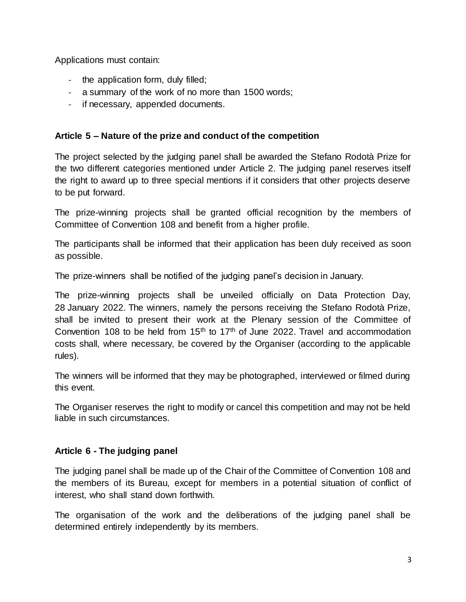Applications must contain:

- the application form, duly filled;
- a summary of the work of no more than 1500 words;
- if necessary, appended documents.

#### **Article 5 – Nature of the prize and conduct of the competition**

The project selected by the judging panel shall be awarded the Stefano Rodotà Prize for the two different categories mentioned under Article 2. The judging panel reserves itself the right to award up to three special mentions if it considers that other projects deserve to be put forward.

The prize-winning projects shall be granted official recognition by the members of Committee of Convention 108 and benefit from a higher profile.

The participants shall be informed that their application has been duly received as soon as possible.

The prize-winners shall be notified of the judging panel's decision in January.

The prize-winning projects shall be unveiled officially on Data Protection Day, 28 January 2022. The winners, namely the persons receiving the Stefano Rodotà Prize, shall be invited to present their work at the Plenary session of the Committee of Convention 108 to be held from  $15<sup>th</sup>$  to 17<sup>th</sup> of June 2022. Travel and accommodation costs shall, where necessary, be covered by the Organiser (according to the applicable rules).

The winners will be informed that they may be photographed, interviewed or filmed during this event.

The Organiser reserves the right to modify or cancel this competition and may not be held liable in such circumstances.

#### **Article 6 - The judging panel**

The judging panel shall be made up of the Chair of the Committee of Convention 108 and the members of its Bureau, except for members in a potential situation of conflict of interest, who shall stand down forthwith.

The organisation of the work and the deliberations of the judging panel shall be determined entirely independently by its members.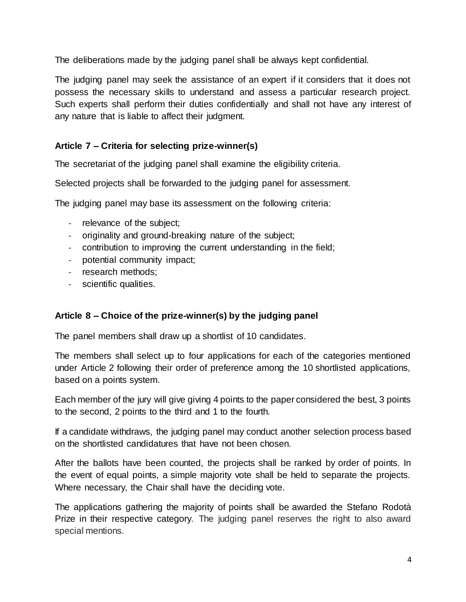The deliberations made by the judging panel shall be always kept confidential.

The judging panel may seek the assistance of an expert if it considers that it does not possess the necessary skills to understand and assess a particular research project. Such experts shall perform their duties confidentially and shall not have any interest of any nature that is liable to affect their judgment.

# **Article 7 – Criteria for selecting prize-winner(s)**

The secretariat of the judging panel shall examine the eligibility criteria.

Selected projects shall be forwarded to the judging panel for assessment.

The judging panel may base its assessment on the following criteria:

- relevance of the subject;
- originality and ground-breaking nature of the subject;
- contribution to improving the current understanding in the field;
- potential community impact;
- research methods;
- scientific qualities.

## **Article 8 – Choice of the prize-winner(s) by the judging panel**

The panel members shall draw up a shortlist of 10 candidates.

The members shall select up to four applications for each of the categories mentioned under Article 2 following their order of preference among the 10 shortlisted applications, based on a points system.

Each member of the jury will give giving 4 points to the paper considered the best, 3 points to the second, 2 points to the third and 1 to the fourth.

If a candidate withdraws, the judging panel may conduct another selection process based on the shortlisted candidatures that have not been chosen.

After the ballots have been counted, the projects shall be ranked by order of points. In the event of equal points, a simple majority vote shall be held to separate the projects. Where necessary, the Chair shall have the deciding vote.

The applications gathering the majority of points shall be awarded the Stefano Rodotà Prize in their respective category. The judging panel reserves the right to also award special mentions.